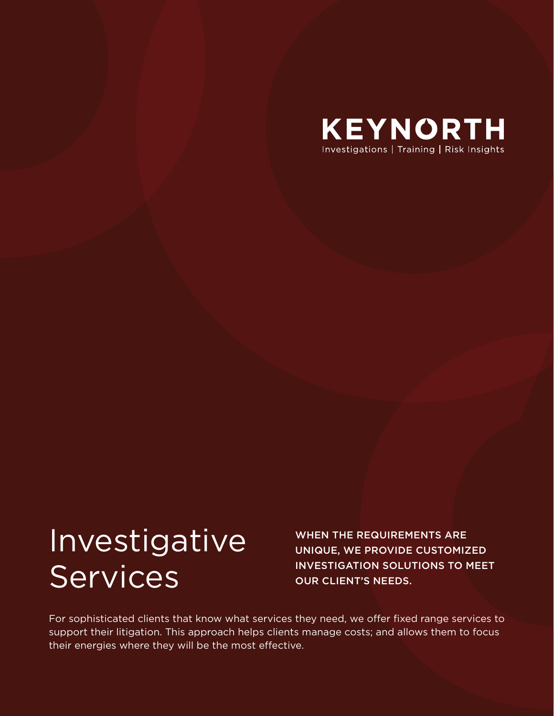

# Investigative Services

WHEN THE REQUIREMENTS ARE UNIQUE, WE PROVIDE CUSTOMIZED INVESTIGATION SOLUTIONS TO MEET OUR CLIENT'S NEEDS.

For sophisticated clients that know what services they need, we offer fixed range services to support their litigation. This approach helps clients manage costs; and allows them to focus their energies where they will be the most effective.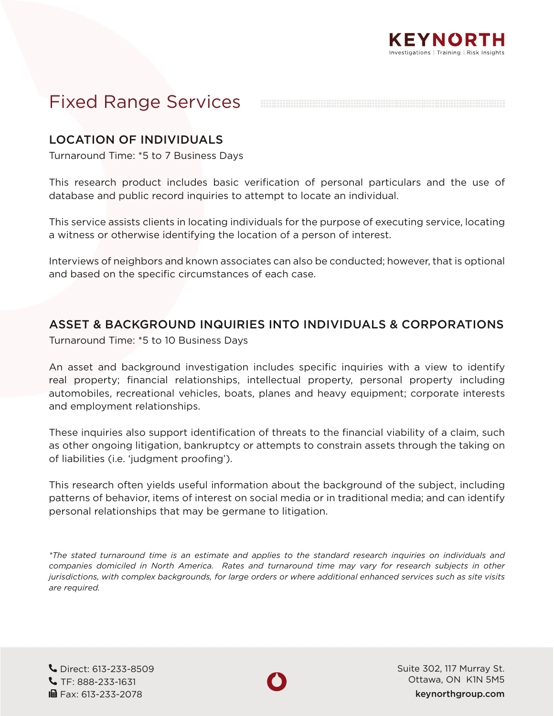## Fixed Range Services

KEYNORTH Investigations | Training | Risk Insights

### LOCATION OF INDIVIDUALS

Turnaround Time: \*5 to 7 Business Days

This research product includes basic verification of personal particulars and the use of database and public record inquiries to attempt to locate an individual.

This service assists clients in locating individuals for the purpose of executing service, locating a witness or otherwise identifying the location of a person of interest.

Interviews of neighbors and known associates can also be conducted; however, that is optional and based on the specific circumstances of each case.

#### ASSET & BACKGROUND INQUIRIES INTO INDIVIDUALS & CORPORATIONS

Turnaround Time: \*5 to 10 Business Days

An asset and background investigation includes specific inquiries with a view to identify real property; financial relationships, intellectual property, personal property including automobiles, recreational vehicles, boats, planes and heavy equipment; corporate interests and employment relationships.

These inquiries also support identification of threats to the financial viability of a claim, such as other ongoing litigation, bankruptcy or attempts to constrain assets through the taking on of liabilities (i.e. 'judgment proofing').

This research often yields useful information about the background of the subject, including patterns of behavior, items of interest on social media or in traditional media; and can identify personal relationships that may be germane to litigation.

*\*The stated turnaround time is an estimate and applies to the standard research inquiries on individuals and companies domiciled in North America. Rates and turnaround time may vary for research subjects in other jurisdictions, with complex backgrounds, for large orders or where additional enhanced services such as site visits are required.*

 Direct: 613-233-8509 TF: 888-233-1631 **in** Fax: 613-233-2078



Suite 302, 117 Murray St. Ottawa, ON K1N 5M5 keynorthgroup.com